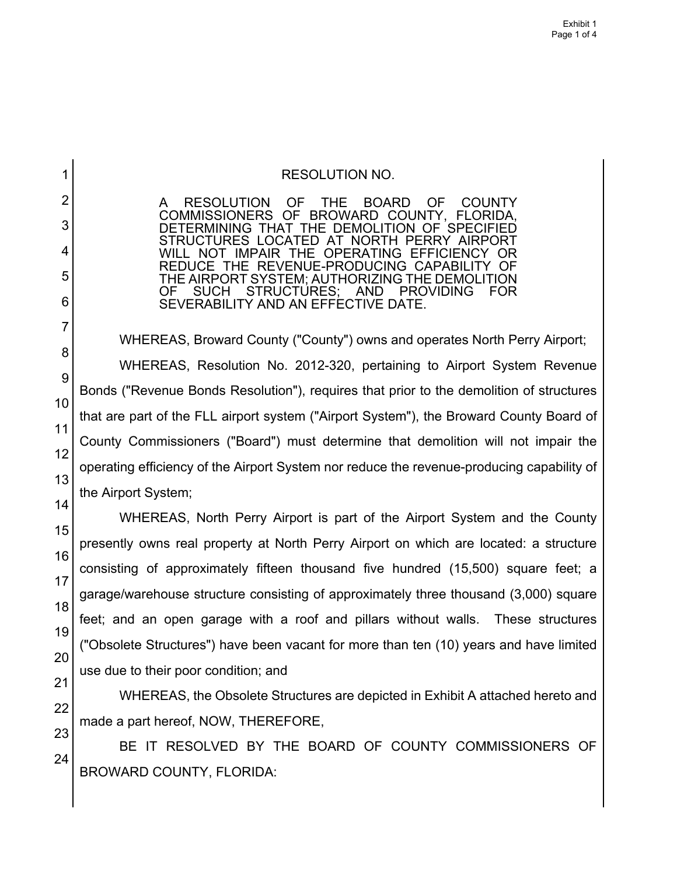## RESOLUTION NO.

A RESOLUTION OF THE BOARD OF COUNTY COMMISSIONERS OF BROWARD COUNTY, FLORIDA, DETERMINING THAT THE DEMOLITION OF SPECIFIED STRUCTURES LOCATED AT NORTH PERRY AIRPORT WILL NOT IMPAIR THE OPERATING EFFICIENCY OR REDUCE THE REVENUE-PRODUCING CAPABILITY OF THE AIRPORT SYSTEM; AUTHORIZING THE DEMOLITION<br>OF SUCH STRUCTURES; AND PROVIDING FOR OF SUCH STRUCTURES; AND PROVIDING FOR SEVERABILITY AND AN EFFECTIVE DATE.

WHEREAS, Broward County ("County") owns and operates North Perry Airport; WHEREAS, Resolution No. 2012-320, pertaining to Airport System Revenue Bonds ("Revenue Bonds Resolution"), requires that prior to the demolition of structures that are part of the FLL airport system ("Airport System"), the Broward County Board of County Commissioners ("Board") must determine that demolition will not impair the operating efficiency of the Airport System nor reduce the revenue-producing capability of the Airport System;

WHEREAS, North Perry Airport is part of the Airport System and the County presently owns real property at North Perry Airport on which are located: a structure consisting of approximately fifteen thousand five hundred (15,500) square feet; a garage/warehouse structure consisting of approximately three thousand (3,000) square feet; and an open garage with a roof and pillars without walls. These structures ("Obsolete Structures") have been vacant for more than ten (10) years and have limited use due to their poor condition; and

WHEREAS, the Obsolete Structures are depicted in Exhibit A attached hereto and made a part hereof, NOW, THEREFORE,

BE IT RESOLVED BY THE BOARD OF COUNTY COMMISSIONERS OF BROWARD COUNTY, FLORIDA:

1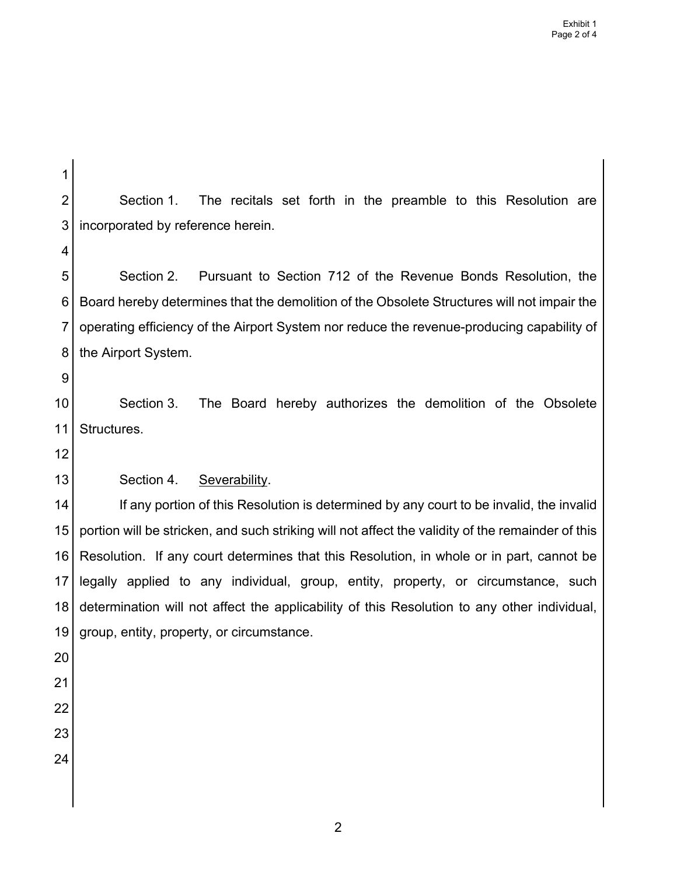1 2 3 4 5 6 7 8 9 10 11 12 13 14 15 16 17 18 19 20 21 22 23 24 Section 1. The recitals set forth in the preamble to this Resolution are incorporated by reference herein. Section 2. Pursuant to Section 712 of the Revenue Bonds Resolution, the Board hereby determines that the demolition of the Obsolete Structures will not impair the operating efficiency of the Airport System nor reduce the revenue-producing capability of the Airport System. Section 3. The Board hereby authorizes the demolition of the Obsolete Structures. Section 4. Severability. If any portion of this Resolution is determined by any court to be invalid, the invalid portion will be stricken, and such striking will not affect the validity of the remainder of this Resolution. If any court determines that this Resolution, in whole or in part, cannot be legally applied to any individual, group, entity, property, or circumstance, such determination will not affect the applicability of this Resolution to any other individual, group, entity, property, or circumstance.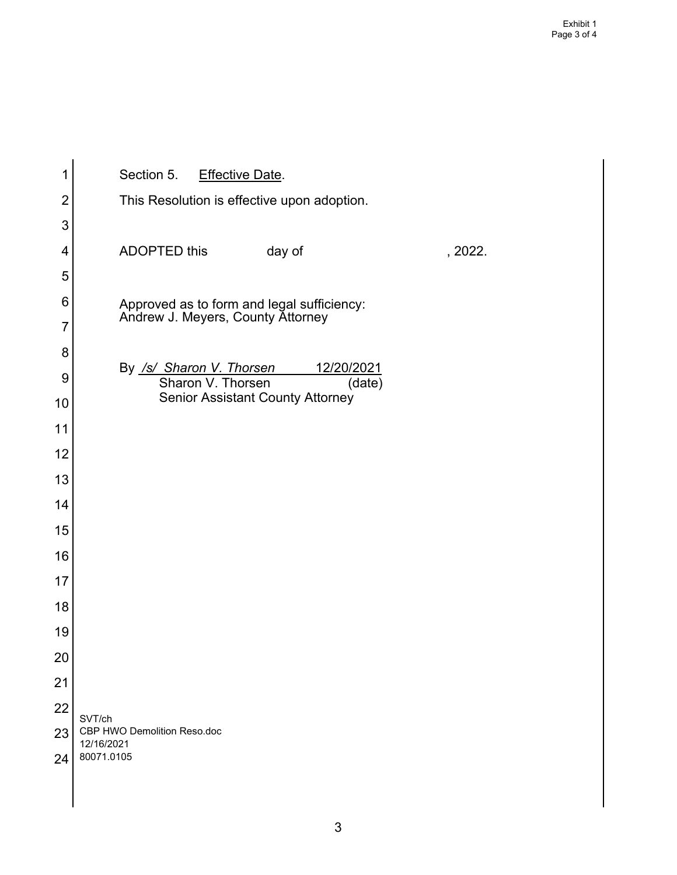| 1  | Section 5. Effective Date.                                                      |
|----|---------------------------------------------------------------------------------|
| 2  | This Resolution is effective upon adoption.                                     |
| 3  |                                                                                 |
| 4  | <b>ADOPTED this</b><br>day of<br>, 2022.                                        |
|    |                                                                                 |
| 5  |                                                                                 |
| 6  | Approved as to form and legal sufficiency:<br>Andrew J. Meyers, County Attorney |
| 7  |                                                                                 |
| 8  | By /s/ Sharon V. Thorsen<br><u>12/20/2021</u>                                   |
| 9  | Sharon V. Thorsen<br>(date)<br><b>Senior Assistant County Attorney</b>          |
| 10 |                                                                                 |
| 11 |                                                                                 |
| 12 |                                                                                 |
| 13 |                                                                                 |
| 14 |                                                                                 |
| 15 |                                                                                 |
| 16 |                                                                                 |
| 17 |                                                                                 |
| 18 |                                                                                 |
| 19 |                                                                                 |
| 20 |                                                                                 |
| 21 |                                                                                 |
| 22 |                                                                                 |
| 23 | SVT/ch<br>CBP HWO Demolition Reso.doc                                           |
| 24 | 12/16/2021<br>80071.0105                                                        |
|    |                                                                                 |
|    |                                                                                 |